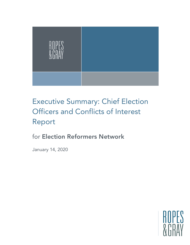

# Executive Summary: Chief Election Officers and Conflicts of Interest Report

# for Election Reformers Network

January 14, 2020

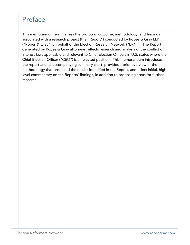# Preface

This memorandum summarizes the *pro bono* outcome, methodology, and findings associated with a research project (the "Report") conducted by Ropes & Gray LLP ("Ropes & Gray") on behalf of the Election Research Network ("ERN"). The Report generated by Ropes & Gray attorneys reflects research and analysis of the conflict of interest laws applicable and relevant to Chief Election Officers in U.S. states where the Chief Election Officer ("CEO") is an elected position. This memorandum introduces the report and its accompanying summary chart, provides a brief overview of the methodology that produced the results identified in the Report, and offers initial, highlevel commentary on the Reports' findings, in addition to proposing areas for further research.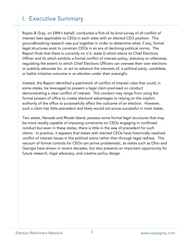#### I. Executive Summary

Ropes & Gray, on ERN's behalf, conducted a first-of-its-kind survey of all conflict of interest laws applicable to CEOs in each state with an elected CEO position. This groundbreaking research was put together in order to determine what, if any, formal legal structures exist to constrain CEOs in an era of declining political norms. The Report finds that there is currently no U.S. state (i) which elects its Chief Elections Officer and (ii) which exhibits a formal conflict of interest policy, statutory or otherwise, regulating the extent to which Chief Elections Officers can oversee their own elections or publicly advocate for, or act to advance the interests of, a political party, candidate, or ballot initiative outcome in an election under their oversight.

Instead, the Report identified a patchwork of conflict of interest rules that could, in some states, be leveraged to present a legal claim premised on conduct demonstrating a clear conflict of interest. This conduct may range from using the formal powers of office to create electoral advantages to relying on the implicit authority of the office to purposefully affect the outcome of an election. However, such a claim has little precedent and likely would not prove successful in most states.

Two states, Nevada and Rhode Island, possess some formal legal structures that may be more readily capable of imposing constraints on CEOs engaging in conflicted conduct but even in these states, there is little in the way of precedent for such claims. In practice, it appears that states with elected CEOs have historically resolved conflict of interest issues in the political arena rather than through legal redress. This vacuum of formal controls for CEOs can prove problematic, as states such as Ohio and Georgia have shown in recent decades, but also presents an important opportunity for future research, legal advocacy, and creative policy design.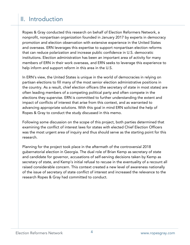## II. Introduction

Ropes & Gray conducted this research on behalf of Election Reformers Network, a nonprofit, nonpartisan organization founded in January 2017 by experts in democracy promotion and election observation with extensive experience in the United States and overseas. ERN leverages this expertise to support nonpartisan election reforms that can reduce polarization and increase public confidence in U.S. democratic institutions. Election administration has been an important area of activity for many members of ERN in their work overseas, and ERN seeks to leverage this experience to help inform and support reform in this area in the U.S.

In ERN's view, the United States is unique in the world of democracies in relying on partisan elections to fill many of the most senior election administrative positions in the country. As a result, chief election officers (the secretary of state in most states) are often leading members of a competing political party and often compete in the elections they supervise. ERN is committed to further understanding the extent and impact of conflicts of interest that arise from this context, and as warranted to advancing appropriate solutions. With this goal in mind ERN solicited the help of Ropes & Gray to conduct the study discussed in this memo.

Following some discussion on the scope of this project, both parties determined that examining the conflict of interest laws for states with elected Chief Election Officers was the most urgent area of inquiry and thus should serve as the starting point for this research.

Planning for the project took place in the aftermath of the controversial 2018 gubernatorial election in Georgia. The dual role of Brian Kemp as secretary of state and candidate for governor, accusations of self-serving decisions taken by Kemp as secretary of state, and Kemp's initial refusal to recuse in the eventuality of a recount all raised considerable concern. This context created a new level of awareness nationally of the issue of secretary of state conflict of interest and increased the relevance to the research Ropes & Gray had committed to conduct.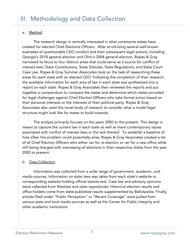#### a. Method

 The research design is centrally interested in what constraints states have created for elected Chief Elections Officers. After scrutinizing several well-known examples of questionable CEO conduct and their subsequent legal actions, including Georgia's 2018 general election and Ohio's 2004 general election, Ropes & Gray narrowed its focus to four distinct areas that could serve as a source for conflict of interest laws: State Constitutions, State Statutes, State Regulations, and State Court Case Law. Ropes & Gray Summer Associates took on the task of researching these areas for each state with an elected CEO. Following the completion of their research, the available information for each area of law in each state was synthesized into a report on each state. Ropes & Gray Associates then reviewed the reports and put together a compendium to compare the states and determine which states provided for legal challenges against Chief Election Officers who take formal action based on their personal interests or the interests of their political party. Ropes & Gray Associates also used this novel body of research to consider what a model legal structure might look like for states to build towards.

 The analysis primarily focuses on the years 2000 to the present. This design is meant to capture the current law in each state as well as more contemporary issues associated with conflict of interest laws or the lack thereof. To establish a baseline of how often this problem could potentially arise, Ropes & Gray Associates created a list of all Chief Election Officers who either ran for re-election or ran for a new office while still being charged with overseeing all elections in their respective states from the year 2000 to present.

#### b. Data Collection

 Information was collected from a wide range of government, academic, and media sources. Information on state laws was taken from each state's website or corresponding website holding official statute text. Case law and advisory opinions were collected from Westlaw and state repositories. Historical election results and office-holders come from state-published results supplemented by Ballotpedia. Finally, articles filed under "Public Perception" or "Recent Coverage" were pulled from various state and local media sources as well as the Center for Public Integrity and other academic institutions.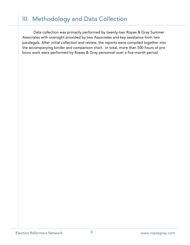### III. Methodology and Data Collection

 Data collection was primarily performed by twenty-two Ropes & Gray Summer Associates with oversight provided by two Associates and key assistance from two paralegals. After initial collection and review, the reports were compiled together into the accompanying binder and comparison chart. In total, more than 500 hours of pro bono work were performed by Ropes & Gray personnel over a five-month period.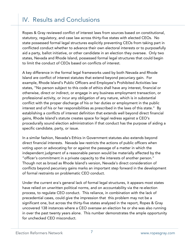# IV. Results and Conclusions

Ropes & Gray reviewed conflict of interest laws from sources based on constitutional, statutory, regulatory, and case law across thirty-five states with elected CEOs. No state possessed formal legal structures explicitly preventing CEOs from taking part in conflicted conduct whether to advance their own electoral interests or to purposefully aid a party, ballot initiative, or other candidate in an election they oversee. Only two states, Nevada and Rhode Island, possessed formal legal structures that could begin to limit the conduct of CEOs based on conflicts of interest.

A key difference in the formal legal frameworks used by both Nevada and Rhode Island are conflict of interest statutes that extend beyond pecuniary gain. For example, Rhode Island's Public Officers and Employee's Prohibited Activities law states, "No person subject to this code of ethics shall have any interest, financial or otherwise, direct or indirect, or engage in any business employment transaction, or professional activity, or incur any obligation of any nature, which is in substantial conflict with the proper discharge of his or her duties or employment in the public interest and of his or her responsibilities as prescribed in the laws of this state." By establishing a conflicts of interest definition that extends well beyond direct financial gains, Rhode Island's statute creates space for legal redress against a CEO's procedurally sound election administration if that conduct has the purpose of aiding a specific candidate, party, or issue.

In a similar fashion, Nevada's Ethics in Government statutes also extends beyond direct financial interests. Nevada law restricts the actions of public officers when voting upon or advocating for or against the passage of a matter in which the independent judgment of a reasonable person would be materially affected by the "officer's commitment in a private capacity to the interests of another person." Though not as broad as Rhode Island's version, Nevada's direct consideration of conflicts beyond pecuniary gains marks an important step forward in the development of formal restraints on problematic CEO conduct.

Under the current era's general lack of formal legal structures, it appears most states have relied on unwritten political norms, and on accountability via the re-election process, to regulate CEO conduct. This reliance, in combination with the lack of precedential cases, could give the impression that this problem may not be a significant one, but across the thirty-five states analyzed in the report, Ropes & Gray uncovered 138 instances where a CEO oversaw an election he or she was also running in over the past twenty years alone. This number demonstrates the ample opportunity for unchecked CEO misconduct.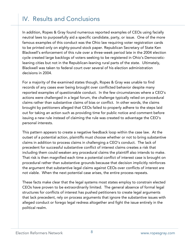# IV. Results and Conclusions

In addition, Ropes & Gray found numerous reported examples of CEOs using facially neutral laws to purposefully aid a specific candidate, party, or issue. One of the more famous examples of this conduct was the Ohio law requiring voter registration cards to be printed only on eighty-pound stock paper. Republican Secretary of State Ken Blackwell's enforcement of this rule over a three-week period late in the 2004 election cycle created large backlogs of voters seeking to be registered in Ohio's Democraticleaning cities but not in the Republican-leaning rural parts of the state. Ultimately, Blackwell was taken to federal court over several of his election administration decisions in 2004.

For a majority of the examined states though, Ropes & Gray was unable to find records of any cases ever being brought over conflicted behavior despite many reported examples of questionable conduct. In the few circumstances where a CEO's actions were challenged in a legal forum, the challenge typically relied on procedural claims rather than substantive claims of bias or conflict. In other words, the claims brought by petitioners alleged that CEOs failed to properly adhere to the steps laid out for taking an action such as providing time for public notice and comment before issuing a new rule instead of claiming the rule was created to advantage the CEO's personal interests.

This pattern appears to create a negative feedback loop within the case law. At the outset of a potential action, plaintiffs must choose whether or not to bring substantive claims in addition to process claims in challenging a CEO's conduct. The lack of precedent for successful substantive conflict of interest claims creates a risk that including them could weaken any procedural claims the plaintiff also intends to make. That risk is then magnified each time a potential conflict of interest case is brought on procedural rather than substantive grounds because that decision implicitly reinforces the argument that substantive legal claims against CEOs over conflicts of interest are not viable. When the next potential case arises, the entire process repeats.

These facts make clear that the legal systems most states employ to constrain elected CEOs have proven to be extraordinarily limited. The general absence of formal legal structures for conflicts of interest has pushed petitioners to create legal arguments that lack precedent, rely on process arguments that ignore the substantive issues with alleged conduct or forego legal redress altogether and fight the issue entirely in the political realm.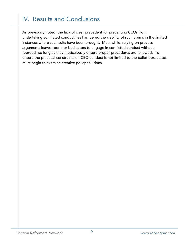## IV. Results and Conclusions

As previously noted, the lack of clear precedent for preventing CEOs from undertaking conflicted conduct has hampered the viability of such claims in the limited instances where such suits have been brought. Meanwhile, relying on process arguments leaves room for bad actors to engage in conflicted conduct without reproach so long as they meticulously ensure proper procedures are followed. To ensure the practical constraints on CEO conduct is not limited to the ballot box, states must begin to examine creative policy solutions.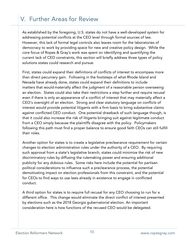# V. Further Areas for Review

As established by the foregoing, U.S. states do not have a well-developed system for addressing potential conflicts at the CEO level through formal sources of law. However, this lack of formal legal controls also leaves room for the laboratories of democracy to work by providing space for new and creative policy design. While the core focus of Ropes & Gray's work was spent on identifying and quantifying the current lack of CEO constraints, this section will briefly address three types of policy solutions states could research and pursue.

First, states could expand their definitions of conflicts of interest to encompass more than direct pecuniary gain. Following in the footsteps of what Rhode Island and Nevada have already done, states could expand their definitions to include matters that would materially affect the judgment of a reasonable person overseeing an election. States could also take their restrictions a step further and require recusal even if there is only an appearance of a conflict of interest that may materially affect a CEO's oversight of an election. Strong and clear statutory language on conflicts of interest would provide potential litigants with a firm basis to bring substantive claims against conflicted CEO conduct. One potential drawback of such language though, is that it could also increase the risk of litigants bringing suit against legitimate conduct from a CEO simply because the plaintiffs disagree with the policy. Policymakers following this path must find a proper balance to ensure good faith CEOs can still fulfill their roles.

Another option for states is to create a legislative preclearance requirement for certain changes to election administration rules under the authority of a CEO. By requiring such approval from a state's legislative branch, states could minimize the risk of new discriminatory rules by diffusing the rulemaking power and ensuring additional publicity for any dubious rules. Some risks here include the potential for partisan political considerations to influence such a preclearance process, the potential demotivating impact on election professionals from this constraint, and the potential for CEOs to find ways to use laws already in existence to engage in conflicted conduct.

A third option for states is to require full recusal for any CEO choosing to run for a different office. This change would eliminate the direct conflict of interest presented by elections such as the 2018 Georgia gubernatorial election. An important consideration here is how functions of the recused CEO would be delegated.